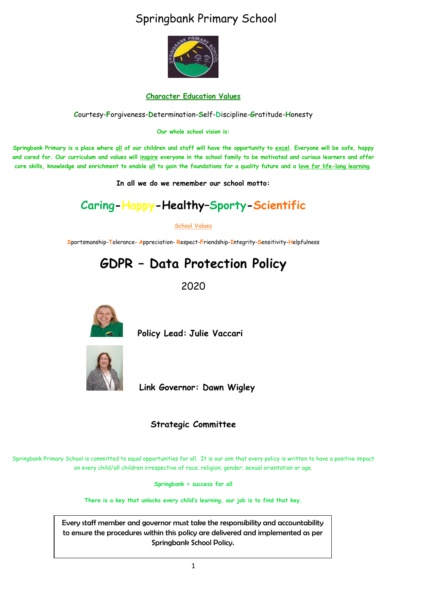### Springbank Primary School



#### **Character Education Values**

**C**ourtesy-**F**orgiveness-**D**etermination-**S**elf-**D**iscipline-**G**ratitude-**H**onesty

**Our whole school vision is:**

**Springbank Primary is a place where all of our children and staff will have the opportunity to excel. Everyone will be safe, happy and cared for. Our curriculum and values will inspire everyone in the school family to be motivated and curious learners and offer core skills, knowledge and enrichment to enable all to gain the foundations for a quality future and a love for life-long learning.**

**In all we do we remember our school motto:**

### **Caring-Happy-Healthy–Sporty-Scientific**

**School Values**

**S**portsmanship-**T**olerance- **A**ppreciation- **R**espect-**F**riendship-**I**ntegrity-**S**ensitivity-**H**elpfulness

## **GDPR – Data Protection Policy**

2020



 **Policy Lead: Julie Vaccari**



**Link Governor: Dawn Wigley** 

#### **Strategic Committee**

Springbank Primary School is committed to equal opportunities for all. It is our aim that every policy is written to have a positive impact on every child/all children irrespective of race; religion; gender; sexual orientation or age.

**Springbank = success for all**

**There is a key that unlocks every child's learning, our job is to find that key.**

Every staff member and governor must take the responsibility and accountability to ensure the procedures within this policy are delivered and implemented as per Springbank School Policy.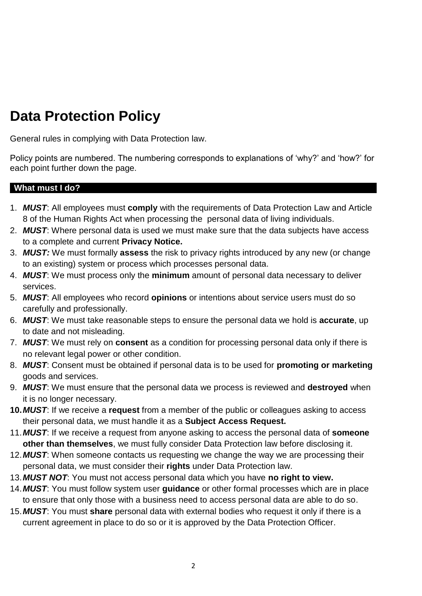# **Data Protection Policy**

General rules in complying with Data Protection law.

Policy points are numbered. The numbering corresponds to explanations of 'why?' and 'how?' for each point further down the page.

#### **What must I do?**

- 1. *MUST*: All employees must **comply** with the requirements of Data Protection Law and Article 8 of the Human Rights Act when processing the personal data of living individuals.
- 2. *MUST*: Where personal data is used we must make sure that the data subjects have access to a complete and current **Privacy Notice.**
- 3. *MUST:* We must formally **assess** the risk to privacy rights introduced by any new (or change to an existing) system or process which processes personal data.
- 4. *MUST*: We must process only the **minimum** amount of personal data necessary to deliver services.
- 5. *MUST*: All employees who record **opinions** or intentions about service users must do so carefully and professionally.
- 6. *MUST*: We must take reasonable steps to ensure the personal data we hold is **accurate**, up to date and not misleading.
- 7. *MUST*: We must rely on **consent** as a condition for processing personal data only if there is no relevant legal power or other condition.
- 8. *MUST*: Consent must be obtained if personal data is to be used for **promoting or marketing** goods and services.
- 9. *MUST*: We must ensure that the personal data we process is reviewed and **destroyed** when it is no longer necessary.
- **10.***MUST*: If we receive a **request** from a member of the public or colleagues asking to access their personal data, we must handle it as a **Subject Access Request.**
- 11.*MUST*: If we receive a request from anyone asking to access the personal data of **someone other than themselves**, we must fully consider Data Protection law before disclosing it.
- 12.*MUST*: When someone contacts us requesting we change the way we are processing their personal data, we must consider their **rights** under Data Protection law.
- 13.*MUST NOT*: You must not access personal data which you have **no right to view.**
- 14.*MUST*: You must follow system user **guidance** or other formal processes which are in place to ensure that only those with a business need to access personal data are able to do so.
- 15.*MUST*: You must **share** personal data with external bodies who request it only if there is a current agreement in place to do so or it is approved by the Data Protection Officer.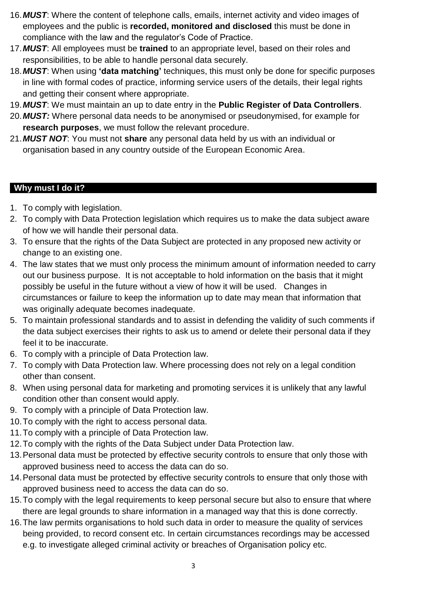- 16.*MUST*: Where the content of telephone calls, emails, internet activity and video images of employees and the public is **recorded, monitored and disclosed** this must be done in compliance with the law and the regulator's Code of Practice.
- 17.*MUST*: All employees must be **trained** to an appropriate level, based on their roles and responsibilities, to be able to handle personal data securely.
- 18.*MUST*: When using **'data matching'** techniques, this must only be done for specific purposes in line with formal codes of practice, informing service users of the details, their legal rights and getting their consent where appropriate.
- 19.*MUST*: We must maintain an up to date entry in the **Public Register of Data Controllers**.
- 20.*MUST:* Where personal data needs to be anonymised or pseudonymised, for example for **research purposes**, we must follow the relevant procedure.
- 21.*MUST NOT*: You must not **share** any personal data held by us with an individual or organisation based in any country outside of the European Economic Area.

#### **Why must I do it?**

- 1. To comply with legislation.
- 2. To comply with Data Protection legislation which requires us to make the data subject aware of how we will handle their personal data.
- 3. To ensure that the rights of the Data Subject are protected in any proposed new activity or change to an existing one.
- 4. The law states that we must only process the minimum amount of information needed to carry out our business purpose. It is not acceptable to hold information on the basis that it might possibly be useful in the future without a view of how it will be used. Changes in circumstances or failure to keep the information up to date may mean that information that was originally adequate becomes inadequate.
- 5. To maintain professional standards and to assist in defending the validity of such comments if the data subject exercises their rights to ask us to amend or delete their personal data if they feel it to be inaccurate.
- 6. To comply with a principle of Data Protection law.
- 7. To comply with Data Protection law. Where processing does not rely on a legal condition other than consent.
- 8. When using personal data for marketing and promoting services it is unlikely that any lawful condition other than consent would apply.
- 9. To comply with a principle of Data Protection law.
- 10.To comply with the right to access personal data.
- 11.To comply with a principle of Data Protection law.
- 12.To comply with the rights of the Data Subject under Data Protection law.
- 13.Personal data must be protected by effective security controls to ensure that only those with approved business need to access the data can do so.
- 14.Personal data must be protected by effective security controls to ensure that only those with approved business need to access the data can do so.
- 15.To comply with the legal requirements to keep personal secure but also to ensure that where there are legal grounds to share information in a managed way that this is done correctly.
- 16.The law permits organisations to hold such data in order to measure the quality of services being provided, to record consent etc. In certain circumstances recordings may be accessed e.g. to investigate alleged criminal activity or breaches of Organisation policy etc.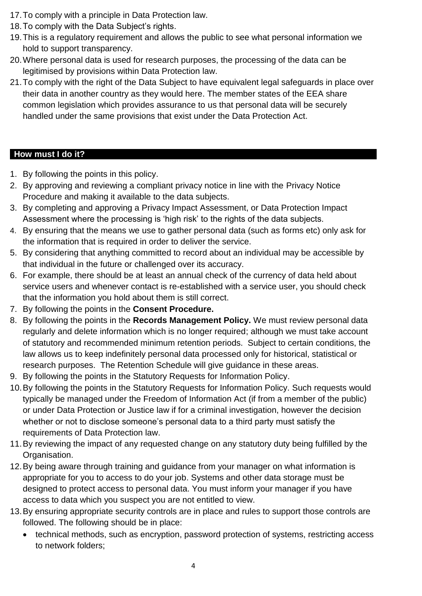- 17.To comply with a principle in Data Protection law.
- 18.To comply with the Data Subject's rights.
- 19.This is a regulatory requirement and allows the public to see what personal information we hold to support transparency.
- 20.Where personal data is used for research purposes, the processing of the data can be legitimised by provisions within Data Protection law.
- 21.To comply with the right of the Data Subject to have equivalent legal safeguards in place over their data in another country as they would here. The member states of the EEA share common legislation which provides assurance to us that personal data will be securely handled under the same provisions that exist under the Data Protection Act.

#### **How must I do it?**

- 1. By following the points in this policy.
- 2. By approving and reviewing a compliant privacy notice in line with the Privacy Notice Procedure and making it available to the data subjects.
- 3. By completing and approving a Privacy Impact Assessment, or Data Protection Impact Assessment where the processing is 'high risk' to the rights of the data subjects.
- 4. By ensuring that the means we use to gather personal data (such as forms etc) only ask for the information that is required in order to deliver the service.
- 5. By considering that anything committed to record about an individual may be accessible by that individual in the future or challenged over its accuracy.
- 6. For example, there should be at least an annual check of the currency of data held about service users and whenever contact is re-established with a service user, you should check that the information you hold about them is still correct.
- 7. By following the points in the **Consent Procedure.**
- 8. By following the points in the **Records Management Policy.** We must review personal data regularly and delete information which is no longer required; although we must take account of statutory and recommended minimum retention periods. Subject to certain conditions, the law allows us to keep indefinitely personal data processed only for historical, statistical or research purposes. The Retention Schedule will give guidance in these areas.
- 9. By following the points in the Statutory Requests for Information Policy.
- 10.By following the points in the Statutory Requests for Information Policy. Such requests would typically be managed under the Freedom of Information Act (if from a member of the public) or under Data Protection or Justice law if for a criminal investigation, however the decision whether or not to disclose someone's personal data to a third party must satisfy the requirements of Data Protection law.
- 11.By reviewing the impact of any requested change on any statutory duty being fulfilled by the Organisation.
- 12.By being aware through training and guidance from your manager on what information is appropriate for you to access to do your job. Systems and other data storage must be designed to protect access to personal data. You must inform your manager if you have access to data which you suspect you are not entitled to view.
- 13.By ensuring appropriate security controls are in place and rules to support those controls are followed. The following should be in place:
	- technical methods, such as encryption, password protection of systems, restricting access to network folders;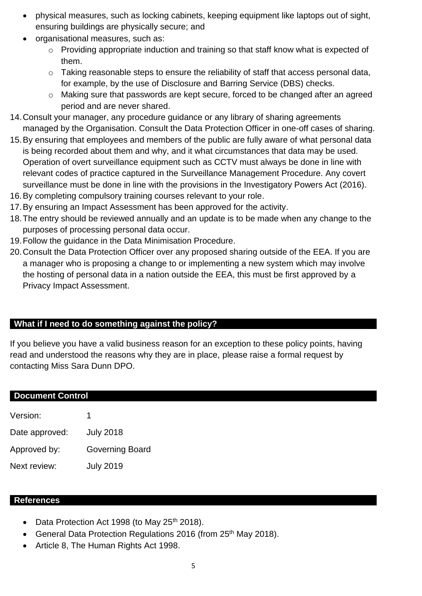- physical measures, such as locking cabinets, keeping equipment like laptops out of sight, ensuring buildings are physically secure; and
- organisational measures, such as:
	- o Providing appropriate induction and training so that staff know what is expected of them.
	- o Taking reasonable steps to ensure the reliability of staff that access personal data, for example, by the use of Disclosure and Barring Service (DBS) checks.
	- o Making sure that passwords are kept secure, forced to be changed after an agreed period and are never shared.
- 14.Consult your manager, any procedure guidance or any library of sharing agreements managed by the Organisation. Consult the Data Protection Officer in one-off cases of sharing.
- 15.By ensuring that employees and members of the public are fully aware of what personal data is being recorded about them and why, and it what circumstances that data may be used. Operation of overt surveillance equipment such as CCTV must always be done in line with relevant codes of practice captured in the Surveillance Management Procedure. Any covert surveillance must be done in line with the provisions in the Investigatory Powers Act (2016).
- 16.By completing compulsory training courses relevant to your role.
- 17.By ensuring an Impact Assessment has been approved for the activity.
- 18.The entry should be reviewed annually and an update is to be made when any change to the purposes of processing personal data occur.
- 19.Follow the guidance in the Data Minimisation Procedure.
- 20.Consult the Data Protection Officer over any proposed sharing outside of the EEA. If you are a manager who is proposing a change to or implementing a new system which may involve the hosting of personal data in a nation outside the EEA, this must be first approved by a Privacy Impact Assessment.

#### **What if I need to do something against the policy?**

If you believe you have a valid business reason for an exception to these policy points, having read and understood the reasons why they are in place, please raise a formal request by contacting Miss Sara Dunn DPO.

| <b>Document Control</b> |                        |
|-------------------------|------------------------|
| Version:                |                        |
| Date approved:          | <b>July 2018</b>       |
| Approved by:            | <b>Governing Board</b> |
| Next review:            | <b>July 2019</b>       |

#### **References**

- Data Protection Act 1998 (to May 25<sup>th</sup> 2018).
- General Data Protection Regulations 2016 (from 25<sup>th</sup> May 2018).
- Article 8, The Human Rights Act 1998.